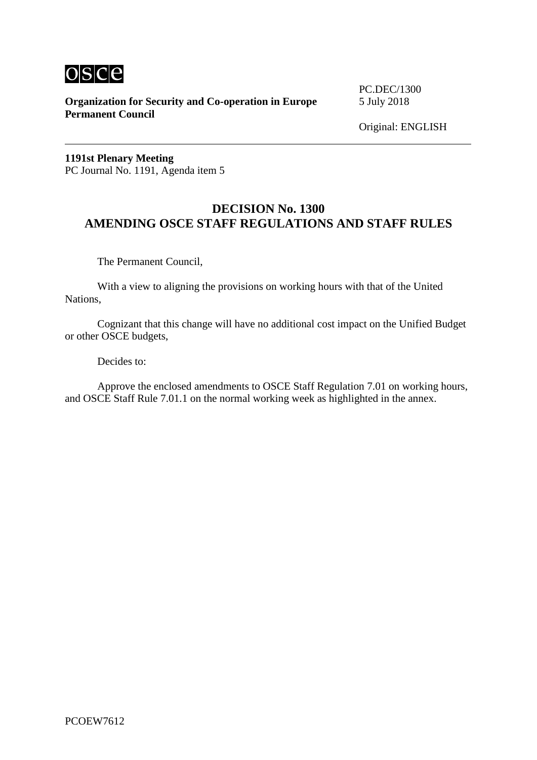

**Organization for Security and Co-operation in Europe** 5 July 2018 **Permanent Council**

PC.DEC/1300

Original: ENGLISH

**1191st Plenary Meeting** PC Journal No. 1191, Agenda item 5

## **DECISION No. 1300 AMENDING OSCE STAFF REGULATIONS AND STAFF RULES**

The Permanent Council,

With a view to aligning the provisions on working hours with that of the United Nations,

Cognizant that this change will have no additional cost impact on the Unified Budget or other OSCE budgets,

Decides to:

Approve the enclosed amendments to OSCE Staff Regulation 7.01 on working hours, and OSCE Staff Rule 7.01.1 on the normal working week as highlighted in the annex.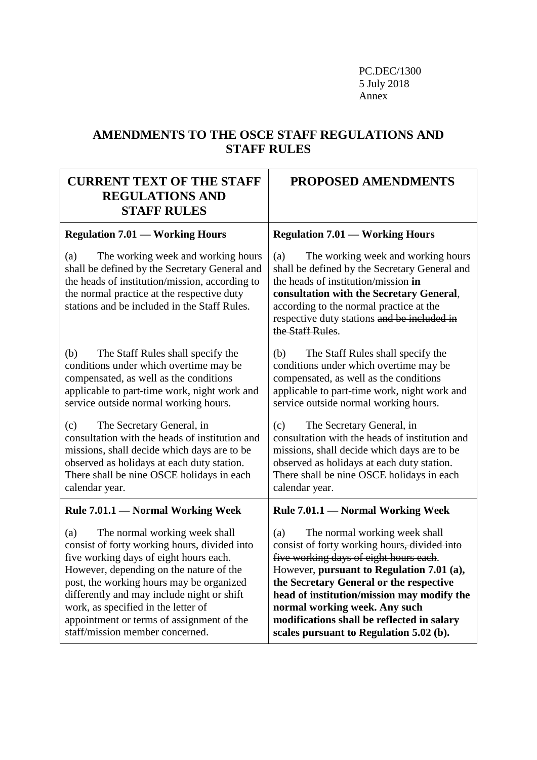PC.DEC/1300 5 July 2018 Annex

## **AMENDMENTS TO THE OSCE STAFF REGULATIONS AND STAFF RULES**

| <b>CURRENT TEXT OF THE STAFF</b><br><b>REGULATIONS AND</b><br><b>STAFF RULES</b>                                                                                                                                                                                                                                                                                                           | PROPOSED AMENDMENTS                                                                                                                                                                                                                                                                                                                                                                                        |
|--------------------------------------------------------------------------------------------------------------------------------------------------------------------------------------------------------------------------------------------------------------------------------------------------------------------------------------------------------------------------------------------|------------------------------------------------------------------------------------------------------------------------------------------------------------------------------------------------------------------------------------------------------------------------------------------------------------------------------------------------------------------------------------------------------------|
| <b>Regulation 7.01 — Working Hours</b>                                                                                                                                                                                                                                                                                                                                                     | <b>Regulation 7.01 – Working Hours</b>                                                                                                                                                                                                                                                                                                                                                                     |
| The working week and working hours<br>(a)<br>shall be defined by the Secretary General and<br>the heads of institution/mission, according to<br>the normal practice at the respective duty<br>stations and be included in the Staff Rules.                                                                                                                                                 | The working week and working hours<br>(a)<br>shall be defined by the Secretary General and<br>the heads of institution/mission in<br>consultation with the Secretary General,<br>according to the normal practice at the<br>respective duty stations and be included in<br>the Staff Rules.                                                                                                                |
| The Staff Rules shall specify the<br>(b)<br>conditions under which overtime may be<br>compensated, as well as the conditions<br>applicable to part-time work, night work and<br>service outside normal working hours.                                                                                                                                                                      | The Staff Rules shall specify the<br>(b)<br>conditions under which overtime may be<br>compensated, as well as the conditions<br>applicable to part-time work, night work and<br>service outside normal working hours.                                                                                                                                                                                      |
| (c)<br>The Secretary General, in<br>consultation with the heads of institution and<br>missions, shall decide which days are to be<br>observed as holidays at each duty station.<br>There shall be nine OSCE holidays in each<br>calendar year.                                                                                                                                             | (c)<br>The Secretary General, in<br>consultation with the heads of institution and<br>missions, shall decide which days are to be<br>observed as holidays at each duty station.<br>There shall be nine OSCE holidays in each<br>calendar year.                                                                                                                                                             |
| Rule 7.01.1 — Normal Working Week                                                                                                                                                                                                                                                                                                                                                          | Rule 7.01.1 — Normal Working Week                                                                                                                                                                                                                                                                                                                                                                          |
| The normal working week shall<br>(a)<br>consist of forty working hours, divided into<br>five working days of eight hours each.<br>However, depending on the nature of the<br>post, the working hours may be organized<br>differently and may include night or shift<br>work, as specified in the letter of<br>appointment or terms of assignment of the<br>staff/mission member concerned. | The normal working week shall<br>(a)<br>consist of forty working hours <del>, divided into</del><br>five working days of eight hours each.<br>However, pursuant to Regulation 7.01 (a),<br>the Secretary General or the respective<br>head of institution/mission may modify the<br>normal working week. Any such<br>modifications shall be reflected in salary<br>scales pursuant to Regulation 5.02 (b). |